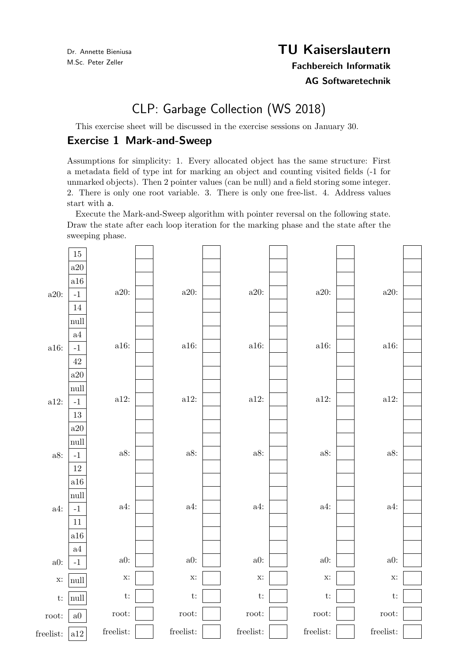Dr. Annette Bieniusa M.Sc. Peter Zeller

## TU Kaiserslautern

Fachbereich Informatik

AG Softwaretechnik

## CLP: Garbage Collection (WS 2018)

This exercise sheet will be discussed in the exercise sessions on January 30.

## Exercise 1 Mark-and-Sweep

Assumptions for simplicity: 1. Every allocated object has the same structure: First a metadata field of type int for marking an object and counting visited fields (-1 for unmarked objects). Then 2 pointer values (can be null) and a field storing some integer. 2. There is only one root variable. 3. There is only one free-list. 4. Address values start with a.

Execute the Mark-and-Sweep algorithm with pointer reversal on the following state. Draw the state after each loop iteration for the marking phase and the state after the sweeping phase.

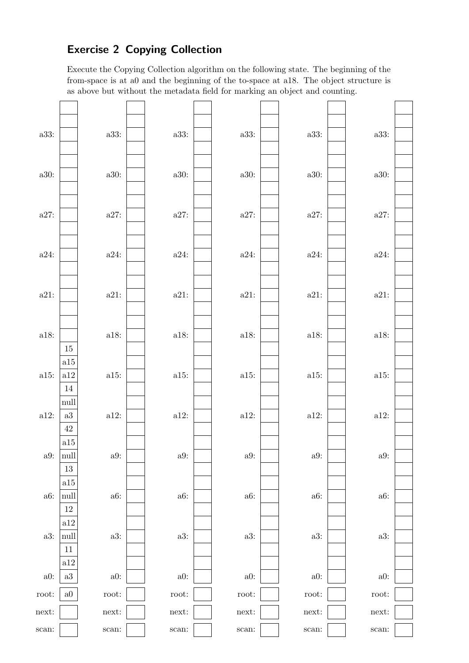## Exercise 2 Copying Collection

Execute the Copying Collection algorithm on the following state. The beginning of the from-space is at a0 and the beginning of the to-space at a18. The object structure is as above but without the metadata field for marking an object and counting.

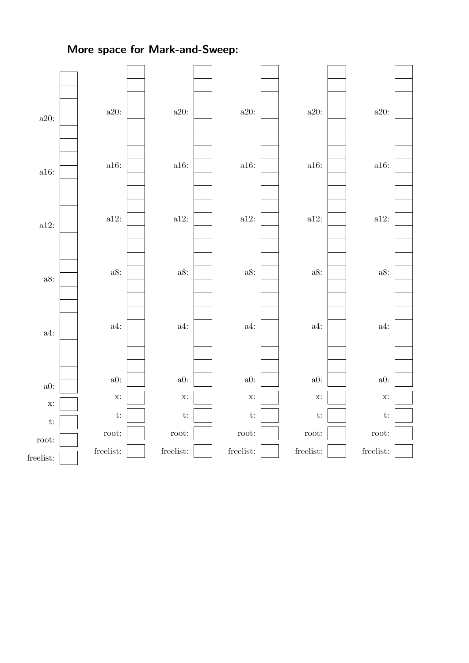More space for Mark-and-Sweep: